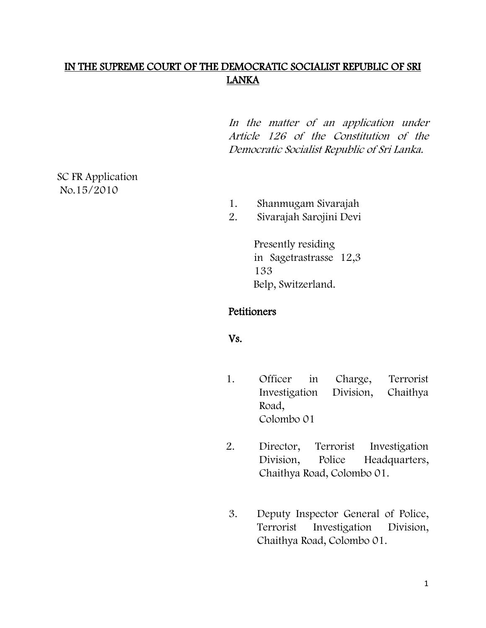## IN THE SUPREME COURT OF THE DEMOCRATIC SOCIALIST REPUBLIC OF SRI LANKA

In the matter of an application under Article 126 of the Constitution of the Democratic Socialist Republic of Sri Lanka.

SC FR Application No.15/2010

- 1. Shanmugam Sivarajah
- 2. Sivarajah Sarojini Devi

Presently residing in Sagetrastrasse 12,3 133 Belp, Switzerland.

### **Petitioners**

### Vs.

- 1. Officer in Charge, Terrorist Investigation Division, Chaithya Road, Colombo 01
- 2. Director, Terrorist Investigation Division, Police Headquarters, Chaithya Road, Colombo 01.
- 3. Deputy Inspector General of Police, Terrorist Investigation Division, Chaithya Road, Colombo 01.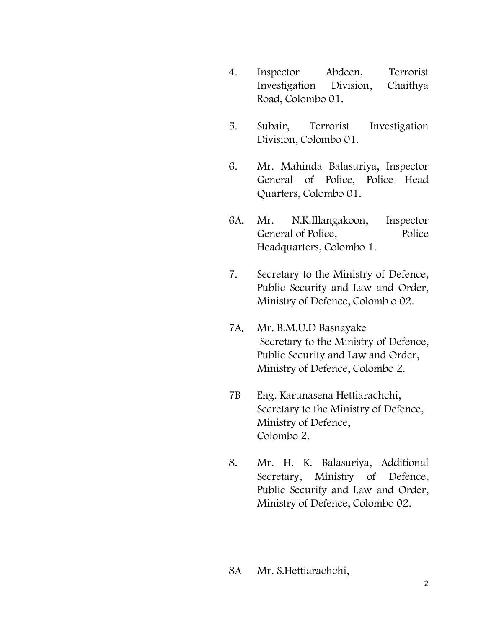- 4. Inspector Abdeen, Terrorist Investigation Division, Chaithya Road, Colombo 01.
- 5. Subair, Terrorist Investigation Division, Colombo 01.
- 6. Mr. Mahinda Balasuriya, Inspector General of Police, Police Head Quarters, Colombo 01.
- 6A. Mr. N.K.Illangakoon, Inspector General of Police, Police Headquarters, Colombo 1.
- 7. Secretary to the Ministry of Defence, Public Security and Law and Order, Ministry of Defence, Colomb o 02.
- 7A. Mr. B.M.U.D Basnayake Secretary to the Ministry of Defence, Public Security and Law and Order, Ministry of Defence, Colombo 2.
- 7B Eng. Karunasena Hettiarachchi, Secretary to the Ministry of Defence, Ministry of Defence, Colombo 2.
- 8. Mr. H. K. Balasuriya, Additional Secretary, Ministry of Defence, Public Security and Law and Order, Ministry of Defence, Colombo 02.

### 8A Mr. S.Hettiarachchi,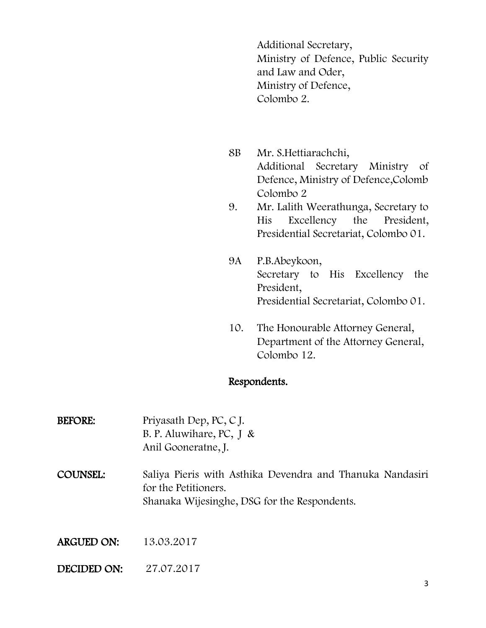Additional Secretary, Ministry of Defence, Public Security and Law and Oder, Ministry of Defence, Colombo 2.

- 8B Mr. S.Hettiarachchi, Additional Secretary Ministry of Defence, Ministry of Defence,Colomb Colombo 2
- 9. Mr. Lalith Weerathunga, Secretary to His Excellency the President, Presidential Secretariat, Colombo 01.
- 9A P.B.Abeykoon, Secretary to His Excellency the President, Presidential Secretariat, Colombo 01.
- 10. The Honourable Attorney General, Department of the Attorney General, Colombo 12.

### Respondents.

| <b>BEFORE:</b> | Priyasath Dep, PC, CJ.<br>B. P. Aluwihare, PC, $J &$<br>Anil Gooneratne, J.                                                       |
|----------------|-----------------------------------------------------------------------------------------------------------------------------------|
| COUNSEL:       | Saliya Pieris with Asthika Devendra and Thanuka Nandasiri<br>for the Petitioners.<br>Shanaka Wijesinghe, DSG for the Respondents. |
| ARGUED ON:     | 13.03.2017                                                                                                                        |

DECIDED ON: 27.07.2017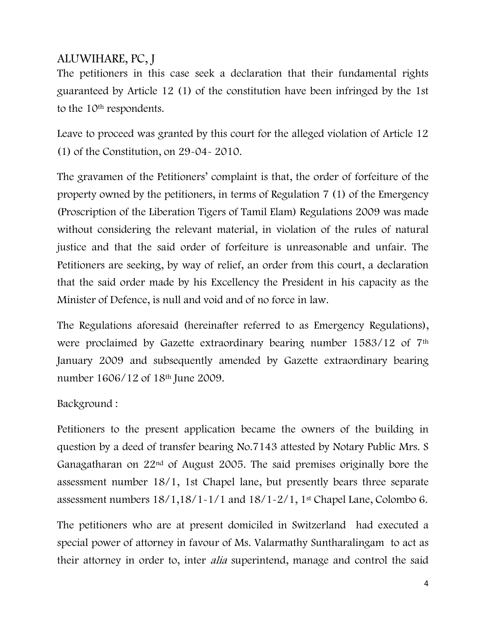# ALUWIHARE, PC, J

The petitioners in this case seek a declaration that their fundamental rights guaranteed by Article 12 (1) of the constitution have been infringed by the 1st to the 10<sup>th</sup> respondents.

Leave to proceed was granted by this court for the alleged violation of Article 12 (1) of the Constitution, on 29-04- 2010.

The gravamen of the Petitioners' complaint is that, the order of forfeiture of the property owned by the petitioners, in terms of Regulation 7 (1) of the Emergency (Proscription of the Liberation Tigers of Tamil Elam) Regulations 2009 was made without considering the relevant material, in violation of the rules of natural justice and that the said order of forfeiture is unreasonable and unfair. The Petitioners are seeking, by way of relief, an order from this court, a declaration that the said order made by his Excellency the President in his capacity as the Minister of Defence, is null and void and of no force in law.

The Regulations aforesaid (hereinafter referred to as Emergency Regulations), were proclaimed by Gazette extraordinary bearing number 1583/12 of 7<sup>th</sup> January 2009 and subsequently amended by Gazette extraordinary bearing number 1606/12 of 18th June 2009.

# Background :

Petitioners to the present application became the owners of the building in question by a deed of transfer bearing No.7143 attested by Notary Public Mrs. S Ganagatharan on 22nd of August 2005. The said premises originally bore the assessment number 18/1, 1st Chapel lane, but presently bears three separate assessment numbers  $18/1, 18/1 - 1/1$  and  $18/1 - 2/1, 1$ <sup>st</sup> Chapel Lane, Colombo 6.

The petitioners who are at present domiciled in Switzerland had executed a special power of attorney in favour of Ms. Valarmathy Suntharalingam to act as their attorney in order to, inter *alia* superintend, manage and control the said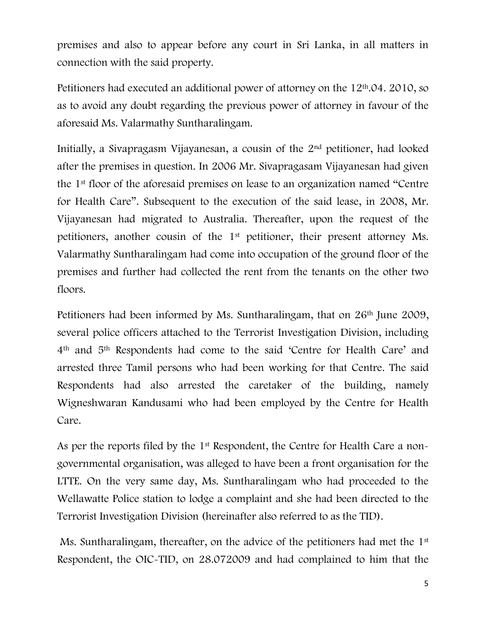premises and also to appear before any court in Sri Lanka, in all matters in connection with the said property.

Petitioners had executed an additional power of attorney on the 12th.04. 2010, so as to avoid any doubt regarding the previous power of attorney in favour of the aforesaid Ms. Valarmathy Suntharalingam.

Initially, a Sivapragasm Vijayanesan, a cousin of the 2nd petitioner, had looked after the premises in question. In 2006 Mr. Sivapragasam Vijayanesan had given the 1st floor of the aforesaid premises on lease to an organization named "Centre for Health Care". Subsequent to the execution of the said lease, in 2008, Mr. Vijayanesan had migrated to Australia. Thereafter, upon the request of the petitioners, another cousin of the 1st petitioner, their present attorney Ms. Valarmathy Suntharalingam had come into occupation of the ground floor of the premises and further had collected the rent from the tenants on the other two floors.

Petitioners had been informed by Ms. Suntharalingam, that on 26<sup>th</sup> June 2009, several police officers attached to the Terrorist Investigation Division, including 4th and 5th Respondents had come to the said 'Centre for Health Care' and arrested three Tamil persons who had been working for that Centre. The said Respondents had also arrested the caretaker of the building, namely Wigneshwaran Kandusami who had been employed by the Centre for Health Care.

As per the reports filed by the 1<sup>st</sup> Respondent, the Centre for Health Care a nongovernmental organisation, was alleged to have been a front organisation for the LTTE. On the very same day, Ms. Suntharalingam who had proceeded to the Wellawatte Police station to lodge a complaint and she had been directed to the Terrorist Investigation Division (hereinafter also referred to as the TID).

Ms. Suntharalingam, thereafter, on the advice of the petitioners had met the 1<sup>st</sup> Respondent, the OIC-TID, on 28.072009 and had complained to him that the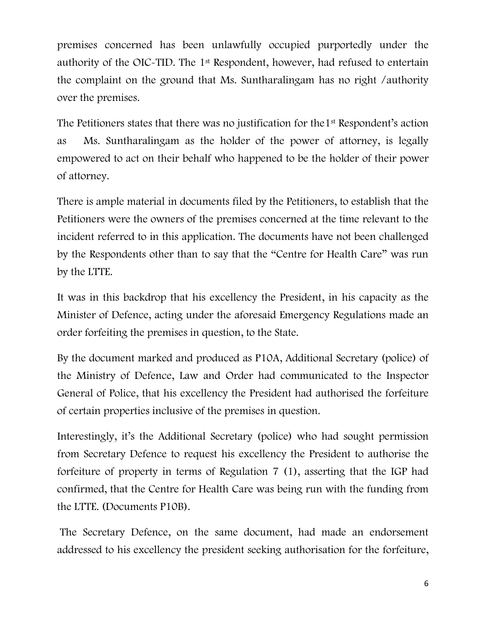premises concerned has been unlawfully occupied purportedly under the authority of the OIC-TID. The 1st Respondent, however, had refused to entertain the complaint on the ground that Ms. Suntharalingam has no right /authority over the premises.

The Petitioners states that there was no justification for the 1<sup>st</sup> Respondent's action as Ms. Suntharalingam as the holder of the power of attorney, is legally empowered to act on their behalf who happened to be the holder of their power of attorney.

There is ample material in documents filed by the Petitioners, to establish that the Petitioners were the owners of the premises concerned at the time relevant to the incident referred to in this application. The documents have not been challenged by the Respondents other than to say that the "Centre for Health Care" was run by the LTTE.

It was in this backdrop that his excellency the President, in his capacity as the Minister of Defence, acting under the aforesaid Emergency Regulations made an order forfeiting the premises in question, to the State.

By the document marked and produced as P10A, Additional Secretary (police) of the Ministry of Defence, Law and Order had communicated to the Inspector General of Police, that his excellency the President had authorised the forfeiture of certain properties inclusive of the premises in question.

Interestingly, it's the Additional Secretary (police) who had sought permission from Secretary Defence to request his excellency the President to authorise the forfeiture of property in terms of Regulation 7 (1), asserting that the IGP had confirmed, that the Centre for Health Care was being run with the funding from the LTTE. (Documents P10B).

The Secretary Defence, on the same document, had made an endorsement addressed to his excellency the president seeking authorisation for the forfeiture,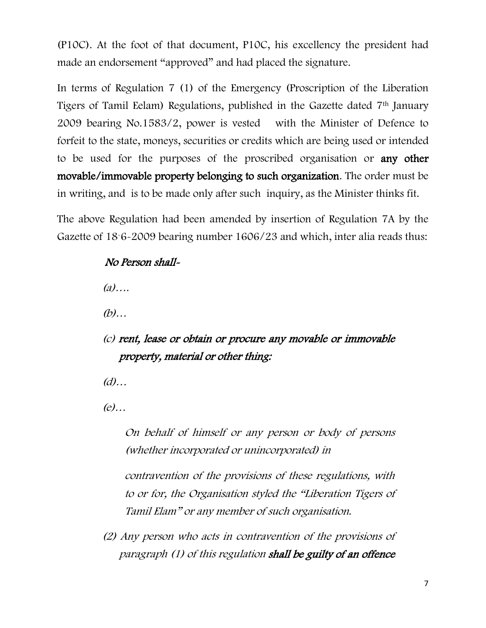(P10C). At the foot of that document, P10C, his excellency the president had made an endorsement "approved" and had placed the signature.

In terms of Regulation 7 (1) of the Emergency (Proscription of the Liberation Tigers of Tamil Eelam) Regulations, published in the Gazette dated 7th January 2009 bearing No.1583/2, power is vested with the Minister of Defence to forfeit to the state, moneys, securities or credits which are being used or intended to be used for the purposes of the proscribed organisation or any other movable/immovable property belonging to such organization. The order must be in writing, and is to be made only after such inquiry, as the Minister thinks fit.

The above Regulation had been amended by insertion of Regulation 7A by the Gazette of 18-6-2009 bearing number 1606/23 and which, inter alia reads thus:

## No Person shall-

(a)….

(b)…

(c) rent, lease or obtain or procure any movable or immovable property, material or other thing:

 $(d)$ ...

(e)…

On behalf of himself or any person or body of persons (whether incorporated or unincorporated) in

contravention of the provisions of these regulations, with to or for, the Organisation styled the "Liberation Tigers of Tamil Elam" or any member of such organisation.

(2) Any person who acts in contravention of the provisions of paragraph (1) of this regulation shall be guilty of an offence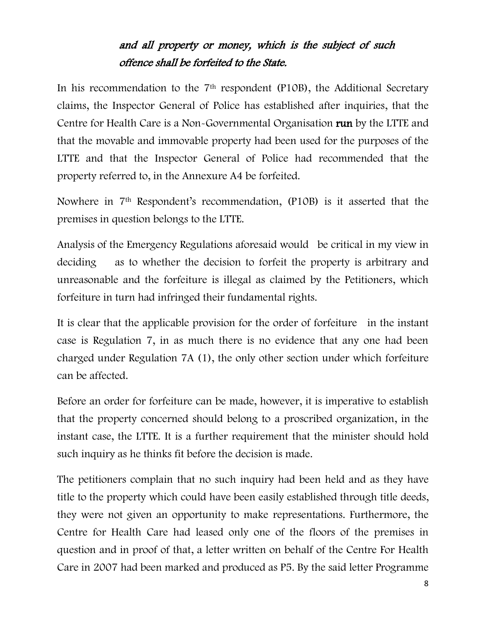# and all property or money, which is the subject of such offence shall be forfeited to the State.

In his recommendation to the 7<sup>th</sup> respondent (P10B), the Additional Secretary claims, the Inspector General of Police has established after inquiries, that the Centre for Health Care is a Non-Governmental Organisation run by the LTTE and that the movable and immovable property had been used for the purposes of the LTTE and that the Inspector General of Police had recommended that the property referred to, in the Annexure A4 be forfeited.

Nowhere in 7th Respondent's recommendation, (P10B) is it asserted that the premises in question belongs to the LTTE.

Analysis of the Emergency Regulations aforesaid would be critical in my view in deciding as to whether the decision to forfeit the property is arbitrary and unreasonable and the forfeiture is illegal as claimed by the Petitioners, which forfeiture in turn had infringed their fundamental rights.

It is clear that the applicable provision for the order of forfeiture in the instant case is Regulation 7, in as much there is no evidence that any one had been charged under Regulation 7A (1), the only other section under which forfeiture can be affected.

Before an order for forfeiture can be made, however, it is imperative to establish that the property concerned should belong to a proscribed organization, in the instant case, the LTTE. It is a further requirement that the minister should hold such inquiry as he thinks fit before the decision is made.

The petitioners complain that no such inquiry had been held and as they have title to the property which could have been easily established through title deeds, they were not given an opportunity to make representations. Furthermore, the Centre for Health Care had leased only one of the floors of the premises in question and in proof of that, a letter written on behalf of the Centre For Health Care in 2007 had been marked and produced as P5. By the said letter Programme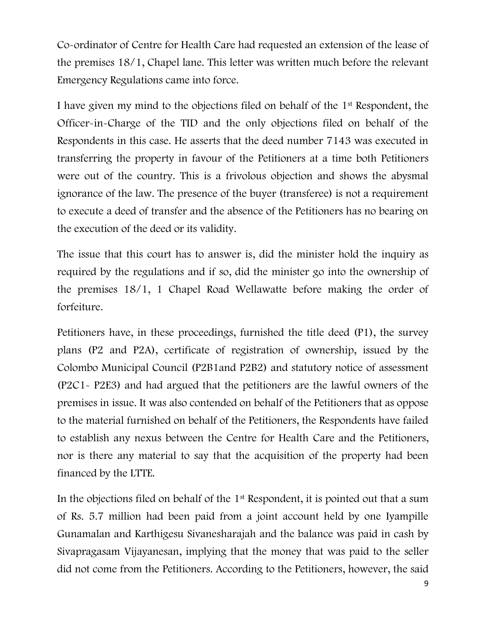Co-ordinator of Centre for Health Care had requested an extension of the lease of the premises 18/1, Chapel lane. This letter was written much before the relevant Emergency Regulations came into force.

I have given my mind to the objections filed on behalf of the 1st Respondent, the Officer-in-Charge of the TID and the only objections filed on behalf of the Respondents in this case. He asserts that the deed number 7143 was executed in transferring the property in favour of the Petitioners at a time both Petitioners were out of the country. This is a frivolous objection and shows the abysmal ignorance of the law. The presence of the buyer (transferee) is not a requirement to execute a deed of transfer and the absence of the Petitioners has no bearing on the execution of the deed or its validity.

The issue that this court has to answer is, did the minister hold the inquiry as required by the regulations and if so, did the minister go into the ownership of the premises 18/1, 1 Chapel Road Wellawatte before making the order of forfeiture.

Petitioners have, in these proceedings, furnished the title deed (P1), the survey plans (P2 and P2A), certificate of registration of ownership, issued by the Colombo Municipal Council (P2B1and P2B2) and statutory notice of assessment (P2C1- P2E3) and had argued that the petitioners are the lawful owners of the premises in issue. It was also contended on behalf of the Petitioners that as oppose to the material furnished on behalf of the Petitioners, the Respondents have failed to establish any nexus between the Centre for Health Care and the Petitioners, nor is there any material to say that the acquisition of the property had been financed by the LTTE.

In the objections filed on behalf of the 1st Respondent, it is pointed out that a sum of Rs. 5.7 million had been paid from a joint account held by one Iyampille Gunamalan and Karthigesu Sivanesharajah and the balance was paid in cash by Sivapragasam Vijayanesan, implying that the money that was paid to the seller did not come from the Petitioners. According to the Petitioners, however, the said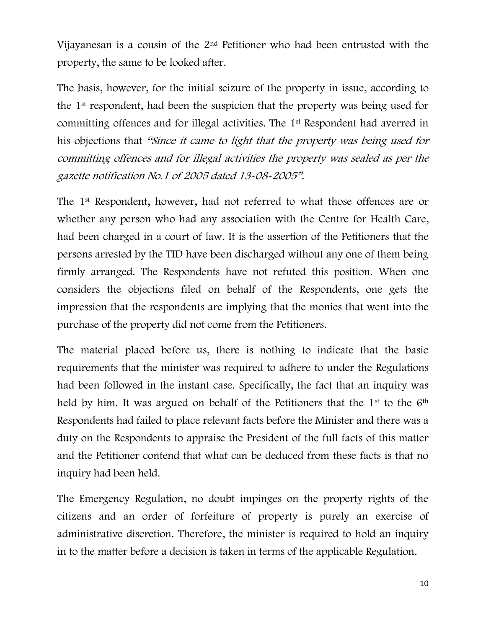Vijayanesan is a cousin of the 2nd Petitioner who had been entrusted with the property, the same to be looked after.

The basis, however, for the initial seizure of the property in issue, according to the 1st respondent, had been the suspicion that the property was being used for committing offences and for illegal activities. The 1st Respondent had averred in his objections that "Since it came to light that the property was being used for committing offences and for illegal activities the property was sealed as per the gazette notification No.1 of 2005 dated 13-08-2005".

The 1st Respondent, however, had not referred to what those offences are or whether any person who had any association with the Centre for Health Care, had been charged in a court of law. It is the assertion of the Petitioners that the persons arrested by the TID have been discharged without any one of them being firmly arranged. The Respondents have not refuted this position. When one considers the objections filed on behalf of the Respondents, one gets the impression that the respondents are implying that the monies that went into the purchase of the property did not come from the Petitioners.

The material placed before us, there is nothing to indicate that the basic requirements that the minister was required to adhere to under the Regulations had been followed in the instant case. Specifically, the fact that an inquiry was held by him. It was argued on behalf of the Petitioners that the 1<sup>st</sup> to the 6<sup>th</sup> Respondents had failed to place relevant facts before the Minister and there was a duty on the Respondents to appraise the President of the full facts of this matter and the Petitioner contend that what can be deduced from these facts is that no inquiry had been held.

The Emergency Regulation, no doubt impinges on the property rights of the citizens and an order of forfeiture of property is purely an exercise of administrative discretion. Therefore, the minister is required to hold an inquiry in to the matter before a decision is taken in terms of the applicable Regulation.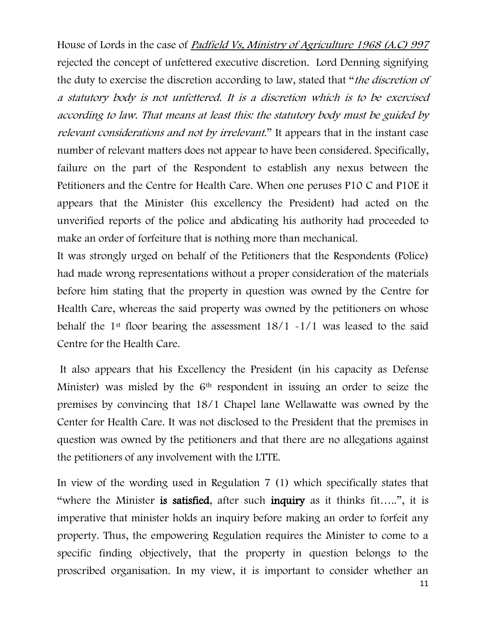House of Lords in the case of Padfield Vs, Ministry of Agriculture 1968 (A.C) 997 rejected the concept of unfettered executive discretion. Lord Denning signifying the duty to exercise the discretion according to law, stated that "the discretion of a statutory body is not unfettered. It is a discretion which is to be exercised according to law. That means at least this: the statutory body must be guided by relevant considerations and not by irrelevant." It appears that in the instant case number of relevant matters does not appear to have been considered. Specifically, failure on the part of the Respondent to establish any nexus between the Petitioners and the Centre for Health Care. When one peruses P10 C and P10E it appears that the Minister (his excellency the President) had acted on the unverified reports of the police and abdicating his authority had proceeded to make an order of forfeiture that is nothing more than mechanical.

It was strongly urged on behalf of the Petitioners that the Respondents (Police) had made wrong representations without a proper consideration of the materials before him stating that the property in question was owned by the Centre for Health Care, whereas the said property was owned by the petitioners on whose behalf the 1<sup>st</sup> floor bearing the assessment  $18/1 - 1/1$  was leased to the said Centre for the Health Care.

It also appears that his Excellency the President (in his capacity as Defense Minister) was misled by the 6th respondent in issuing an order to seize the premises by convincing that 18/1 Chapel lane Wellawatte was owned by the Center for Health Care. It was not disclosed to the President that the premises in question was owned by the petitioners and that there are no allegations against the petitioners of any involvement with the LTTE.

In view of the wording used in Regulation 7 (1) which specifically states that "where the Minister is satisfied, after such inquiry as it thinks fit.....", it is imperative that minister holds an inquiry before making an order to forfeit any property. Thus, the empowering Regulation requires the Minister to come to a specific finding objectively, that the property in question belongs to the proscribed organisation. In my view, it is important to consider whether an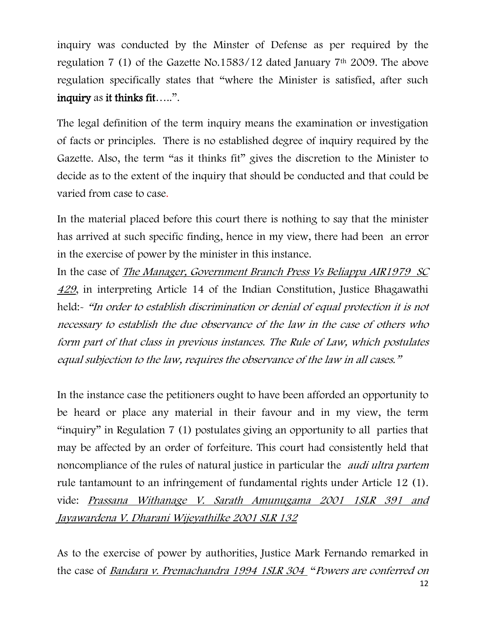inquiry was conducted by the Minster of Defense as per required by the regulation 7 (1) of the Gazette No.1583/12 dated January 7th 2009. The above regulation specifically states that "where the Minister is satisfied, after such inquiry as it thinks fit…..".

The legal definition of the term inquiry means the examination or investigation of facts or principles. There is no established degree of inquiry required by the Gazette. Also, the term "as it thinks fit" gives the discretion to the Minister to decide as to the extent of the inquiry that should be conducted and that could be varied from case to case.

In the material placed before this court there is nothing to say that the minister has arrived at such specific finding, hence in my view, there had been an error in the exercise of power by the minister in this instance.

In the case of The Manager, Government Branch Press Vs Beliappa AIR1979 SC <sup>429</sup>, in interpreting Article 14 of the Indian Constitution, Justice Bhagawathi held:- "In order to establish discrimination or denial of equal protection it is not necessary to establish the due observance of the law in the case of others who form part of that class in previous instances. The Rule of Law, which postulates equal subjection to the law, requires the observance of the law in all cases."

In the instance case the petitioners ought to have been afforded an opportunity to be heard or place any material in their favour and in my view, the term "inquiry" in Regulation 7 (1) postulates giving an opportunity to all parties that may be affected by an order of forfeiture. This court had consistently held that noncompliance of the rules of natural justice in particular the audi ultra partem rule tantamount to an infringement of fundamental rights under Article 12 (1). vide: Prassana Withanage V. Sarath Amunugama 2001 1SLR 391 and Jayawardena V. Dharani Wijeyathilke 2001 SLR 132

As to the exercise of power by authorities, Justice Mark Fernando remarked in the case of Bandara v. Premachandra 1994 1SLR 304 "Powers are conferred on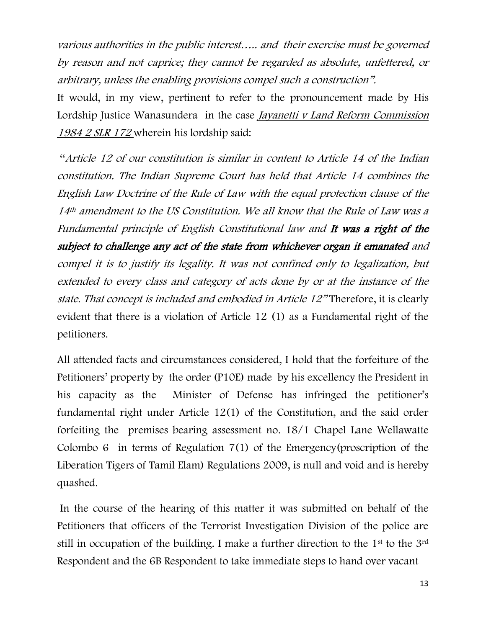various authorities in the public interest….. and their exercise must be governed by reason and not caprice; they cannot be regarded as absolute, unfettered, or arbitrary, unless the enabling provisions compel such a construction".

It would, in my view, pertinent to refer to the pronouncement made by His Lordship Justice Wanasundera in the case *Jayanetti v Land Reform Commission* 1984 2 SLR 172 wherein his lordship said:

"Article 12 of our constitution is similar in content to Article 14 of the Indian constitution. The Indian Supreme Court has held that Article 14 combines the English Law Doctrine of the Rule of Law with the equal protection clause of the 14<sup>th</sup> amendment to the US Constitution. We all know that the Rule of Law was a Fundamental principle of English Constitutional law and It was a right of the subject to challenge any act of the state from whichever organ it emanated and compel it is to justify its legality. It was not confined only to legalization, but extended to every class and category of acts done by or at the instance of the state. That concept is included and embodied in Article 12" Therefore, it is clearly evident that there is a violation of Article 12 (1) as a Fundamental right of the petitioners.

All attended facts and circumstances considered, I hold that the forfeiture of the Petitioners' property by the order (P10E) made by his excellency the President in his capacity as the Minister of Defense has infringed the petitioner's fundamental right under Article 12(1) of the Constitution, and the said order forfeiting the premises bearing assessment no. 18/1 Chapel Lane Wellawatte Colombo 6 in terms of Regulation 7(1) of the Emergency(proscription of the Liberation Tigers of Tamil Elam) Regulations 2009, is null and void and is hereby quashed.

In the course of the hearing of this matter it was submitted on behalf of the Petitioners that officers of the Terrorist Investigation Division of the police are still in occupation of the building. I make a further direction to the 1<sup>st</sup> to the 3<sup>rd</sup> Respondent and the 6B Respondent to take immediate steps to hand over vacant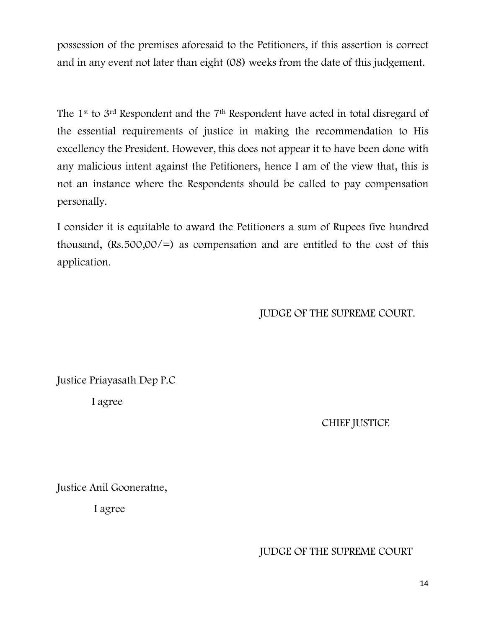possession of the premises aforesaid to the Petitioners, if this assertion is correct and in any event not later than eight (08) weeks from the date of this judgement.

The 1st to 3rd Respondent and the 7th Respondent have acted in total disregard of the essential requirements of justice in making the recommendation to His excellency the President. However, this does not appear it to have been done with any malicious intent against the Petitioners, hence I am of the view that, this is not an instance where the Respondents should be called to pay compensation personally.

I consider it is equitable to award the Petitioners a sum of Rupees five hundred thousand,  $(Rs.500,00/=)$  as compensation and are entitled to the cost of this application.

### JUDGE OF THE SUPREME COURT.

Justice Priayasath Dep P.C

I agree

CHIEF JUSTICE

Justice Anil Gooneratne,

I agree

### JUDGE OF THE SUPREME COURT